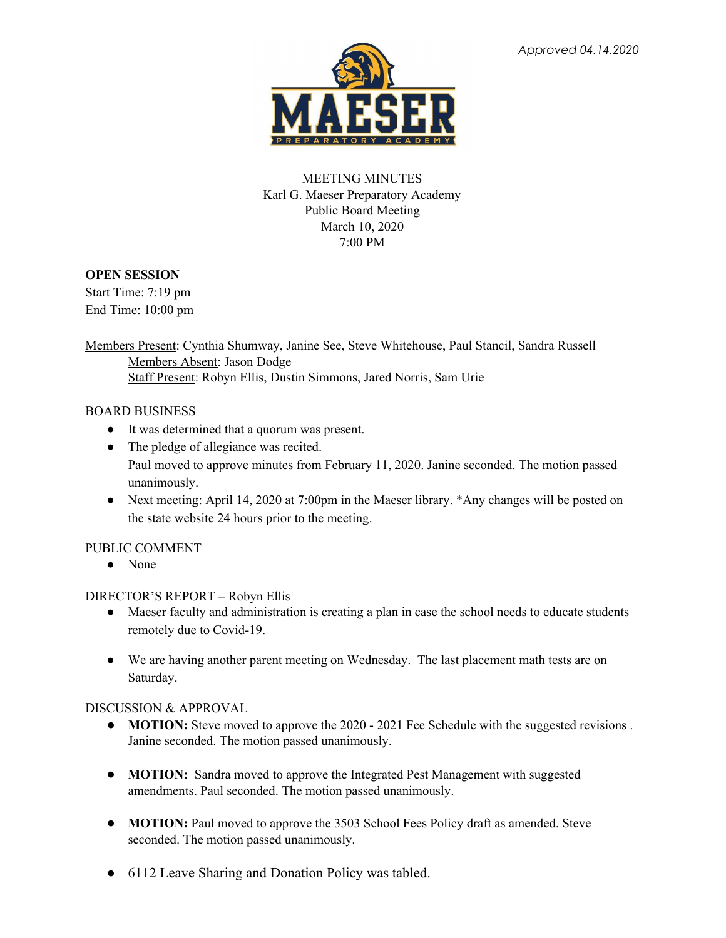

# MEETING MINUTES Karl G. Maeser Preparatory Academy Public Board Meeting March 10, 2020 7:00 PM

## **OPEN SESSION**

Start Time: 7:19 pm End Time: 10:00 pm

Members Present: Cynthia Shumway, Janine See, Steve Whitehouse, Paul Stancil, Sandra Russell Members Absent: Jason Dodge Staff Present: Robyn Ellis, Dustin Simmons, Jared Norris, Sam Urie

## BOARD BUSINESS

- It was determined that a quorum was present.
- The pledge of allegiance was recited. Paul moved to approve minutes from February 11, 2020. Janine seconded. The motion passed unanimously.
- Next meeting: April 14, 2020 at 7:00pm in the Maeser library. \*Any changes will be posted on the state website 24 hours prior to the meeting.

## PUBLIC COMMENT

● None

## DIRECTOR'S REPORT – Robyn Ellis

- Maeser faculty and administration is creating a plan in case the school needs to educate students remotely due to Covid-19.
- We are having another parent meeting on Wednesday. The last placement math tests are on Saturday.

### DISCUSSION & APPROVAL

- **MOTION:** Steve moved to approve the 2020 2021 Fee Schedule with the suggested revisions. Janine seconded. The motion passed unanimously.
- **MOTION:** Sandra moved to approve the Integrated Pest Management with suggested amendments. Paul seconded. The motion passed unanimously.
- **MOTION:** Paul moved to approve the 3503 School Fees Policy draft as amended. Steve seconded. The motion passed unanimously.
- 6112 Leave Sharing and Donation Policy was tabled.